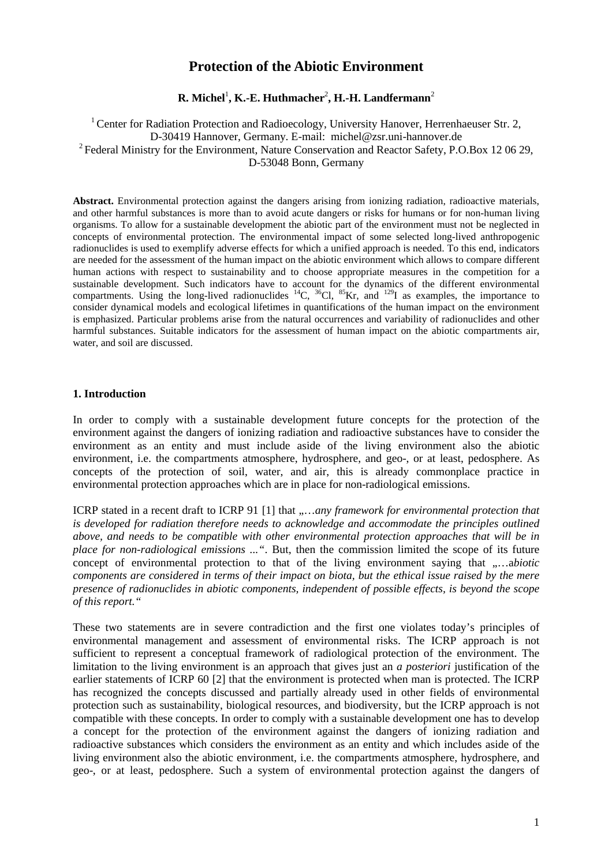# **Protection of the Abiotic Environment**

# **R.** Michel<sup>1</sup>, **K.-E. Huthmacher<sup>2</sup>, H.-H. Landfermann<sup>2</sup>**

<sup>1</sup> Center for Radiation Protection and Radioecology, University Hanover, Herrenhaeuser Str. 2, D-30419 Hannover, Germany. E-mail: michel@zsr.uni-hannover.de <sup>2</sup> Federal Ministry for the Environment, Nature Conservation and Reactor Safety, P.O.Box 12 06 29, D-53048 Bonn, Germany

**Abstract.** Environmental protection against the dangers arising from ionizing radiation, radioactive materials, and other harmful substances is more than to avoid acute dangers or risks for humans or for non-human living organisms. To allow for a sustainable development the abiotic part of the environment must not be neglected in concepts of environmental protection. The environmental impact of some selected long-lived anthropogenic radionuclides is used to exemplify adverse effects for which a unified approach is needed. To this end, indicators are needed for the assessment of the human impact on the abiotic environment which allows to compare different human actions with respect to sustainability and to choose appropriate measures in the competition for a sustainable development. Such indicators have to account for the dynamics of the different environmental compartments. Using the long-lived radionuclides  ${}^{14}C$ ,  ${}^{36}Cl$ ,  ${}^{85}Kr$ , and  ${}^{129}I$  as examples, the importance to consider dynamical models and ecological lifetimes in quantifications of the human impact on the environment is emphasized. Particular problems arise from the natural occurrences and variability of radionuclides and other harmful substances. Suitable indicators for the assessment of human impact on the abiotic compartments air, water, and soil are discussed.

#### **1. Introduction**

In order to comply with a sustainable development future concepts for the protection of the environment against the dangers of ionizing radiation and radioactive substances have to consider the environment as an entity and must include aside of the living environment also the abiotic environment, i.e. the compartments atmosphere, hydrosphere, and geo-, or at least, pedosphere. As concepts of the protection of soil, water, and air, this is already commonplace practice in environmental protection approaches which are in place for non-radiological emissions.

ICRP stated in a recent draft to ICRP 91 [1] that ,,...any framework for environmental protection that *is developed for radiation therefore needs to acknowledge and accommodate the principles outlined above, and needs to be compatible with other environmental protection approaches that will be in place for non-radiological emissions ..."*. But, then the commission limited the scope of its future concept of environmental protection to that of the living environment saying that .....abiotic *components are considered in terms of their impact on biota, but the ethical issue raised by the mere presence of radionuclides in abiotic components, independent of possible effects, is beyond the scope of this report."*

These two statements are in severe contradiction and the first one violates today's principles of environmental management and assessment of environmental risks. The ICRP approach is not sufficient to represent a conceptual framework of radiological protection of the environment. The limitation to the living environment is an approach that gives just an *a posteriori* justification of the earlier statements of ICRP 60 [2] that the environment is protected when man is protected. The ICRP has recognized the concepts discussed and partially already used in other fields of environmental protection such as sustainability, biological resources, and biodiversity, but the ICRP approach is not compatible with these concepts. In order to comply with a sustainable development one has to develop a concept for the protection of the environment against the dangers of ionizing radiation and radioactive substances which considers the environment as an entity and which includes aside of the living environment also the abiotic environment, i.e. the compartments atmosphere, hydrosphere, and geo-, or at least, pedosphere. Such a system of environmental protection against the dangers of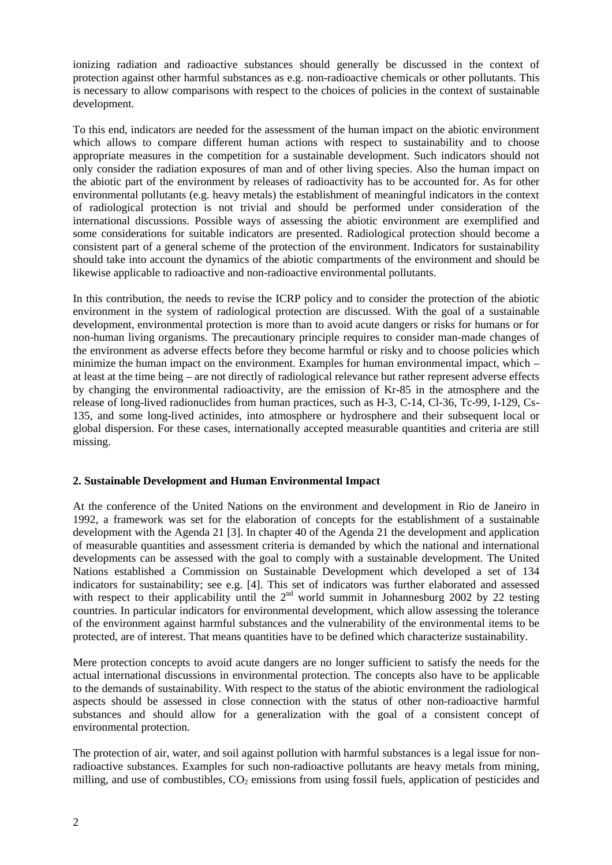ionizing radiation and radioactive substances should generally be discussed in the context of protection against other harmful substances as e.g. non-radioactive chemicals or other pollutants. This is necessary to allow comparisons with respect to the choices of policies in the context of sustainable development.

To this end, indicators are needed for the assessment of the human impact on the abiotic environment which allows to compare different human actions with respect to sustainability and to choose appropriate measures in the competition for a sustainable development. Such indicators should not only consider the radiation exposures of man and of other living species. Also the human impact on the abiotic part of the environment by releases of radioactivity has to be accounted for. As for other environmental pollutants (e.g. heavy metals) the establishment of meaningful indicators in the context of radiological protection is not trivial and should be performed under consideration of the international discussions. Possible ways of assessing the abiotic environment are exemplified and some considerations for suitable indicators are presented. Radiological protection should become a consistent part of a general scheme of the protection of the environment. Indicators for sustainability should take into account the dynamics of the abiotic compartments of the environment and should be likewise applicable to radioactive and non-radioactive environmental pollutants.

In this contribution, the needs to revise the ICRP policy and to consider the protection of the abiotic environment in the system of radiological protection are discussed. With the goal of a sustainable development, environmental protection is more than to avoid acute dangers or risks for humans or for non-human living organisms. The precautionary principle requires to consider man-made changes of the environment as adverse effects before they become harmful or risky and to choose policies which minimize the human impact on the environment. Examples for human environmental impact, which – at least at the time being – are not directly of radiological relevance but rather represent adverse effects by changing the environmental radioactivity, are the emission of Kr-85 in the atmosphere and the release of long-lived radionuclides from human practices, such as H-3, C-14, Cl-36, Tc-99, I-129, Cs-135, and some long-lived actinides, into atmosphere or hydrosphere and their subsequent local or global dispersion. For these cases, internationally accepted measurable quantities and criteria are still missing.

## **2. Sustainable Development and Human Environmental Impact**

At the conference of the United Nations on the environment and development in Rio de Janeiro in 1992, a framework was set for the elaboration of concepts for the establishment of a sustainable development with the Agenda 21 [3]. In chapter 40 of the Agenda 21 the development and application of measurable quantities and assessment criteria is demanded by which the national and international developments can be assessed with the goal to comply with a sustainable development. The United Nations established a Commission on Sustainable Development which developed a set of 134 indicators for sustainability; see e.g. [4]. This set of indicators was further elaborated and assessed with respect to their applicability until the  $2<sup>nd</sup>$  world summit in Johannesburg 2002 by 22 testing countries. In particular indicators for environmental development, which allow assessing the tolerance of the environment against harmful substances and the vulnerability of the environmental items to be protected, are of interest. That means quantities have to be defined which characterize sustainability.

Mere protection concepts to avoid acute dangers are no longer sufficient to satisfy the needs for the actual international discussions in environmental protection. The concepts also have to be applicable to the demands of sustainability. With respect to the status of the abiotic environment the radiological aspects should be assessed in close connection with the status of other non-radioactive harmful substances and should allow for a generalization with the goal of a consistent concept of environmental protection.

The protection of air, water, and soil against pollution with harmful substances is a legal issue for nonradioactive substances. Examples for such non-radioactive pollutants are heavy metals from mining, milling, and use of combustibles,  $CO_2$  emissions from using fossil fuels, application of pesticides and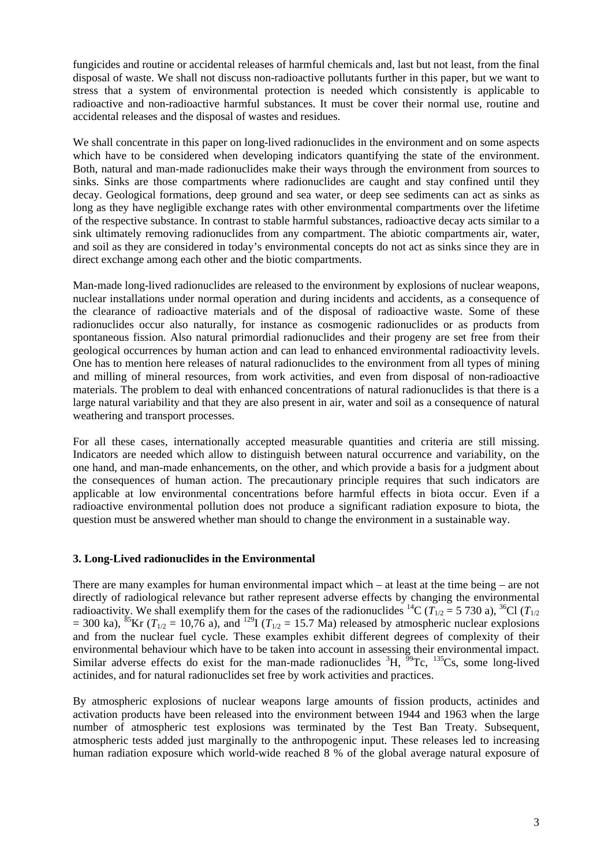fungicides and routine or accidental releases of harmful chemicals and, last but not least, from the final disposal of waste. We shall not discuss non-radioactive pollutants further in this paper, but we want to stress that a system of environmental protection is needed which consistently is applicable to radioactive and non-radioactive harmful substances. It must be cover their normal use, routine and accidental releases and the disposal of wastes and residues.

We shall concentrate in this paper on long-lived radionuclides in the environment and on some aspects which have to be considered when developing indicators quantifying the state of the environment. Both, natural and man-made radionuclides make their ways through the environment from sources to sinks. Sinks are those compartments where radionuclides are caught and stay confined until they decay. Geological formations, deep ground and sea water, or deep see sediments can act as sinks as long as they have negligible exchange rates with other environmental compartments over the lifetime of the respective substance. In contrast to stable harmful substances, radioactive decay acts similar to a sink ultimately removing radionuclides from any compartment. The abiotic compartments air, water, and soil as they are considered in today's environmental concepts do not act as sinks since they are in direct exchange among each other and the biotic compartments.

Man-made long-lived radionuclides are released to the environment by explosions of nuclear weapons, nuclear installations under normal operation and during incidents and accidents, as a consequence of the clearance of radioactive materials and of the disposal of radioactive waste. Some of these radionuclides occur also naturally, for instance as cosmogenic radionuclides or as products from spontaneous fission. Also natural primordial radionuclides and their progeny are set free from their geological occurrences by human action and can lead to enhanced environmental radioactivity levels. One has to mention here releases of natural radionuclides to the environment from all types of mining and milling of mineral resources, from work activities, and even from disposal of non-radioactive materials. The problem to deal with enhanced concentrations of natural radionuclides is that there is a large natural variability and that they are also present in air, water and soil as a consequence of natural weathering and transport processes.

For all these cases, internationally accepted measurable quantities and criteria are still missing. Indicators are needed which allow to distinguish between natural occurrence and variability, on the one hand, and man-made enhancements, on the other, and which provide a basis for a judgment about the consequences of human action. The precautionary principle requires that such indicators are applicable at low environmental concentrations before harmful effects in biota occur. Even if a radioactive environmental pollution does not produce a significant radiation exposure to biota, the question must be answered whether man should to change the environment in a sustainable way.

## **3. Long-Lived radionuclides in the Environmental**

There are many examples for human environmental impact which – at least at the time being – are not directly of radiological relevance but rather represent adverse effects by changing the environmental radioactivity. We shall exemplify them for the cases of the radionuclides <sup>14</sup>C ( $T_{1/2}$  = 5 730 a), <sup>36</sup>Cl ( $T_{1/2}$ )  $= 300$  ka),  ${}^{85}$ Kr ( $T_{1/2} = 10,76$  a), and <sup>129</sup>I ( $T_{1/2} = 15.7$  Ma) released by atmospheric nuclear explosions and from the nuclear fuel cycle. These examples exhibit different degrees of complexity of their environmental behaviour which have to be taken into account in assessing their environmental impact. Similar adverse effects do exist for the man-made radionuclides  ${}^{3}H$ ,  ${}^{59}Te$ ,  ${}^{135}Cs$ , some long-lived actinides, and for natural radionuclides set free by work activities and practices.

By atmospheric explosions of nuclear weapons large amounts of fission products, actinides and activation products have been released into the environment between 1944 and 1963 when the large number of atmospheric test explosions was terminated by the Test Ban Treaty. Subsequent, atmospheric tests added just marginally to the anthropogenic input. These releases led to increasing human radiation exposure which world-wide reached 8 % of the global average natural exposure of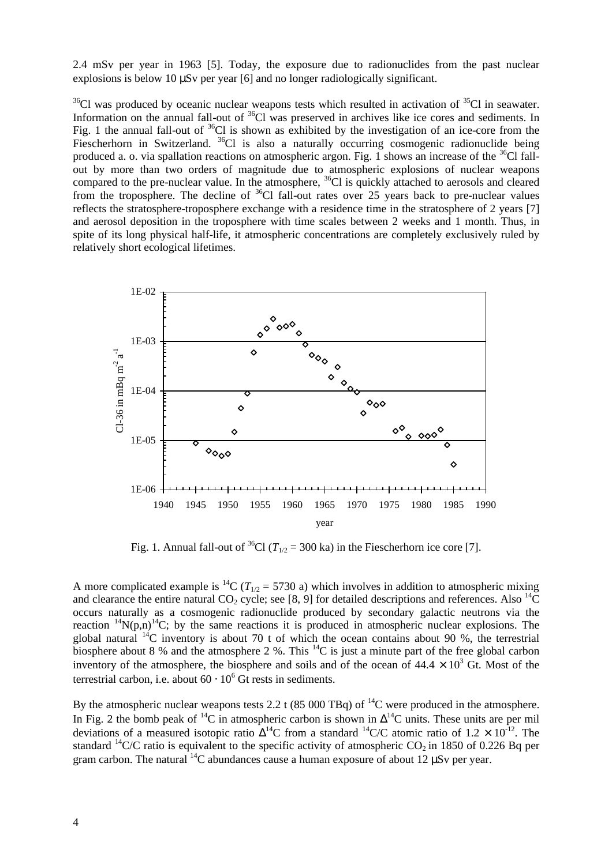2.4 mSv per year in 1963 [5]. Today, the exposure due to radionuclides from the past nuclear explosions is below 10 μSv per year [6] and no longer radiologically significant.

 $36$ Cl was produced by oceanic nuclear weapons tests which resulted in activation of  $35$ Cl in seawater. Information on the annual fall-out of <sup>36</sup>Cl was preserved in archives like ice cores and sediments. In Fig. 1 the annual fall-out of <sup>36</sup>Cl is shown as exhibited by the investigation of an ice-core from the Fiescherhorn in Switzerland. <sup>36</sup>Cl is also a naturally occurring cosmogenic radionuclide being produced a. o. via spallation reactions on atmospheric argon. Fig. 1 shows an increase of the  $36$ Cl fallout by more than two orders of magnitude due to atmospheric explosions of nuclear weapons compared to the pre-nuclear value. In the atmosphere, <sup>36</sup>Cl is quickly attached to aerosols and cleared from the troposphere. The decline of  ${}^{36}$ Cl fall-out rates over 25 years back to pre-nuclear values reflects the stratosphere-troposphere exchange with a residence time in the stratosphere of 2 years [7] and aerosol deposition in the troposphere with time scales between 2 weeks and 1 month. Thus, in spite of its long physical half-life, it atmospheric concentrations are completely exclusively ruled by relatively short ecological lifetimes.



Fig. 1. Annual fall-out of <sup>36</sup>Cl ( $T_{1/2}$  = 300 ka) in the Fiescherhorn ice core [7].

A more complicated example is <sup>14</sup>C ( $T_{1/2}$  = 5730 a) which involves in addition to atmospheric mixing and clearance the entire natural CO<sub>2</sub> cycle; see [8, 9] for detailed descriptions and references. Also  ${}^{14}C$ occurs naturally as a cosmogenic radionuclide produced by secondary galactic neutrons via the reaction  $^{14}N(p,n)^{14}C$ ; by the same reactions it is produced in atmospheric nuclear explosions. The global natural  $14C$  inventory is about 70 t of which the ocean contains about 90 %, the terrestrial biosphere about 8 % and the atmosphere 2 %. This  ${}^{14}C$  is just a minute part of the free global carbon inventory of the atmosphere, the biosphere and soils and of the ocean of  $44.4 \times 10^3$  Gt. Most of the terrestrial carbon, i.e. about  $60 \cdot 10^6$  Gt rests in sediments.

By the atmospheric nuclear weapons tests 2.2 t (85 000 TBq) of  $^{14}$ C were produced in the atmosphere. In Fig. 2 the bomb peak of <sup>14</sup>C in atmospheric carbon is shown in  $\Delta^{14}$ C units. These units are per mil deviations of a measured isotopic ratio  $\Delta^{14}$ C from a standard  $^{14}$ C/C atomic ratio of 1.2  $\times$  10<sup>-12</sup>. The standard <sup>14</sup>C/C ratio is equivalent to the specific activity of atmospheric  $CO_2$  in 1850 of 0.226 Bq per gram carbon. The natural  $^{14}C$  abundances cause a human exposure of about 12 uSv per year.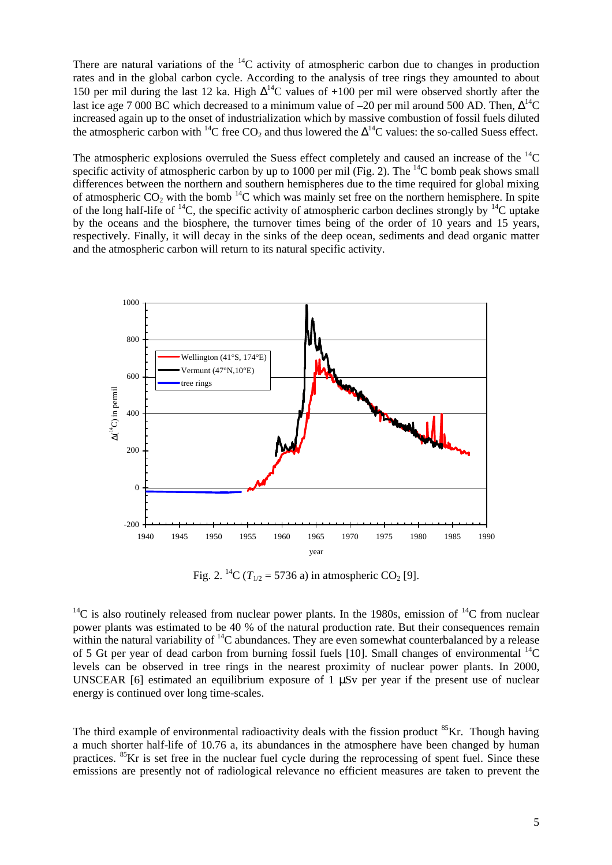There are natural variations of the  $^{14}C$  activity of atmospheric carbon due to changes in production rates and in the global carbon cycle. According to the analysis of tree rings they amounted to about 150 per mil during the last 12 ka. High  $\Delta^{14}$ C values of +100 per mil were observed shortly after the last ice age 7 000 BC which decreased to a minimum value of  $-20$  per mil around 500 AD. Then,  $\Delta^{14}C$ increased again up to the onset of industrialization which by massive combustion of fossil fuels diluted the atmospheric carbon with <sup>14</sup>C free  $CO_2$  and thus lowered the  $\Delta^{14}$ C values: the so-called Suess effect.

The atmospheric explosions overruled the Suess effect completely and caused an increase of the  ${}^{14}C$ specific activity of atmospheric carbon by up to 1000 per mil (Fig. 2). The  $^{14}$ C bomb peak shows small differences between the northern and southern hemispheres due to the time required for global mixing of atmospheric  $CO_2$  with the bomb  $^{14}C$  which was mainly set free on the northern hemisphere. In spite of the long half-life of <sup>14</sup>C, the specific activity of atmospheric carbon declines strongly by <sup>14</sup>C uptake by the oceans and the biosphere, the turnover times being of the order of 10 years and 15 years, respectively. Finally, it will decay in the sinks of the deep ocean, sediments and dead organic matter and the atmospheric carbon will return to its natural specific activity.



Fig. 2. <sup>14</sup>C ( $T_{1/2}$  = 5736 a) in atmospheric CO<sub>2</sub> [9].

<sup>14</sup>C is also routinely released from nuclear power plants. In the 1980s, emission of <sup>14</sup>C from nuclear power plants was estimated to be 40 % of the natural production rate. But their consequences remain within the natural variability of  ${}^{14}C$  abundances. They are even somewhat counterbalanced by a release of 5 Gt per year of dead carbon from burning fossil fuels [10]. Small changes of environmental  $^{14}$ C levels can be observed in tree rings in the nearest proximity of nuclear power plants. In 2000, UNSCEAR [6] estimated an equilibrium exposure of 1 μSv per year if the present use of nuclear energy is continued over long time-scales.

The third example of environmental radioactivity deals with the fission product  ${}^{85}$ Kr. Though having a much shorter half-life of 10.76 a, its abundances in the atmosphere have been changed by human practices.  ${}^{85}$ Kr is set free in the nuclear fuel cycle during the reprocessing of spent fuel. Since these emissions are presently not of radiological relevance no efficient measures are taken to prevent the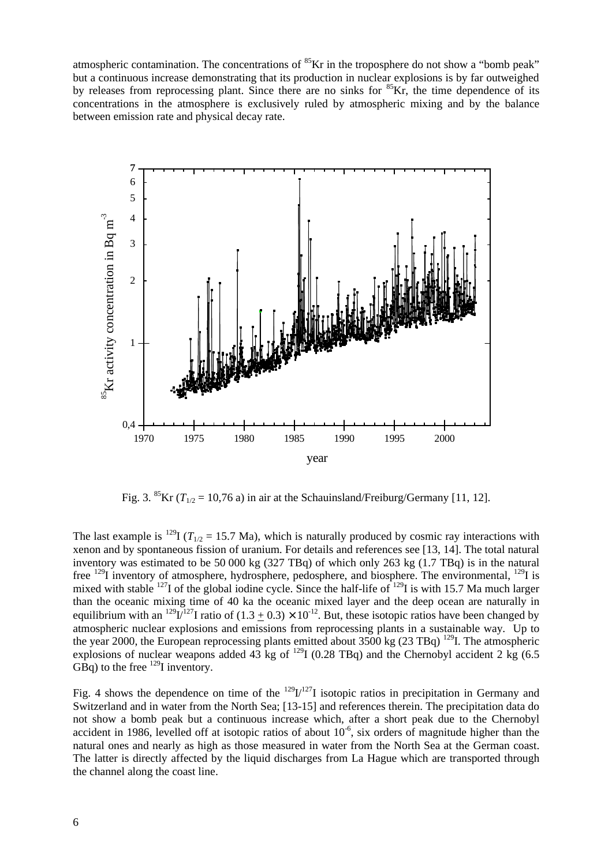atmospheric contamination. The concentrations of  ${}^{85}$ Kr in the troposphere do not show a "bomb peak" but a continuous increase demonstrating that its production in nuclear explosions is by far outweighed by releases from reprocessing plant. Since there are no sinks for  ${}^{85}$ Kr, the time dependence of its concentrations in the atmosphere is exclusively ruled by atmospheric mixing and by the balance between emission rate and physical decay rate.



Fig. 3. <sup>85</sup>Kr ( $T_{1/2}$  = 10,76 a) in air at the Schauinsland/Freiburg/Germany [11, 12].

The last example is <sup>129</sup>I ( $T_{1/2}$  = 15.7 Ma), which is naturally produced by cosmic ray interactions with xenon and by spontaneous fission of uranium. For details and references see [13, 14]. The total natural inventory was estimated to be 50 000 kg (327 TBq) of which only 263 kg (1.7 TBq) is in the natural free <sup>129</sup>I inventory of atmosphere, hydrosphere, pedosphere, and biosphere. The environmental, <sup>129</sup>I is mixed with stable <sup>127</sup>I of the global iodine cycle. Since the half-life of <sup>129</sup>I is with 15.7 Ma much larger than the oceanic mixing time of 40 ka the oceanic mixed layer and the deep ocean are naturally in equilibrium with an <sup>129</sup>L<sup> $127$ </sup>I ratio of  $(1.3 \pm 0.3) \times 10^{-12}$ . But, these isotopic ratios have been changed by atmospheric nuclear explosions and emissions from reprocessing plants in a sustainable way. Up to the year 2000, the European reprocessing plants emitted about 3500 kg (23 TBq) <sup>129</sup>I. The atmospheric explosions of nuclear weapons added 43 kg of  $^{129}$ I (0.28 TBq) and the Chernobyl accident 2 kg (6.5) GBq) to the free  $^{129}$ I inventory.

Fig. 4 shows the dependence on time of the  $^{129}I^{127}I$  isotopic ratios in precipitation in Germany and Switzerland and in water from the North Sea; [13-15] and references therein. The precipitation data do not show a bomb peak but a continuous increase which, after a short peak due to the Chernobyl accident in 1986, levelled off at isotopic ratios of about  $10^{-6}$ , six orders of magnitude higher than the natural ones and nearly as high as those measured in water from the North Sea at the German coast. The latter is directly affected by the liquid discharges from La Hague which are transported through the channel along the coast line.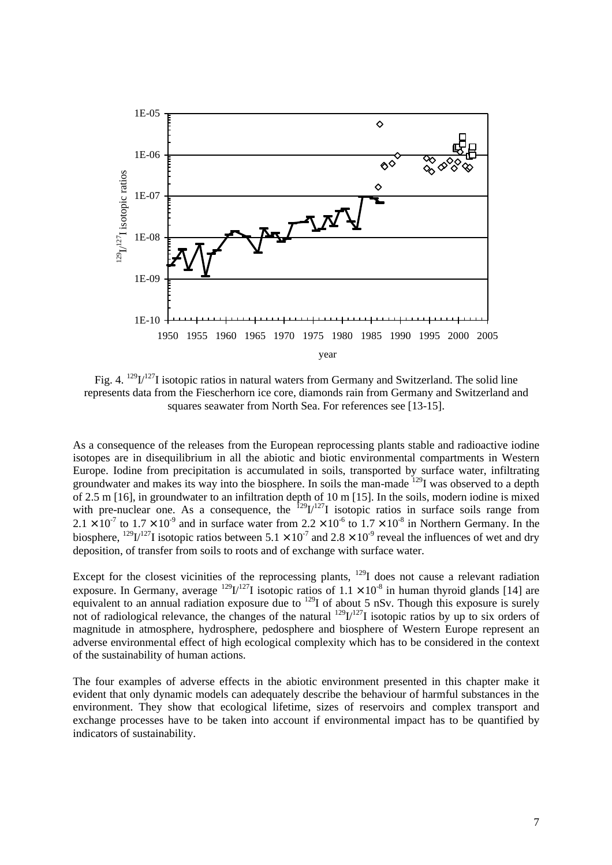

Fig. 4.  $^{129}U^{127}$ I isotopic ratios in natural waters from Germany and Switzerland. The solid line represents data from the Fiescherhorn ice core, diamonds rain from Germany and Switzerland and squares seawater from North Sea. For references see [13-15].

As a consequence of the releases from the European reprocessing plants stable and radioactive iodine isotopes are in disequilibrium in all the abiotic and biotic environmental compartments in Western Europe. Iodine from precipitation is accumulated in soils, transported by surface water, infiltrating groundwater and makes its way into the biosphere. In soils the man-made <sup>129</sup>I was observed to a depth of 2.5 m [16], in groundwater to an infiltration depth of 10 m [15]. In the soils, modern iodine is mixed with pre-nuclear one. As a consequence, the  $^{129}I^{127}I$  isotopic ratios in surface soils range from  $2.1 \times 10^{-7}$  to  $1.7 \times 10^{-9}$  and in surface water from  $2.2 \times 10^{-6}$  to  $1.7 \times 10^{-8}$  in Northern Germany. In the biosphere,  $^{129}$ I/<sup>127</sup>I isotopic ratios between 5.1  $\times$  10<sup>-7</sup> and 2.8  $\times$  10<sup>-9</sup> reveal the influences of wet and dry deposition, of transfer from soils to roots and of exchange with surface water.

Except for the closest vicinities of the reprocessing plants, <sup>129</sup>I does not cause a relevant radiation exposure. In Germany, average  $^{129}I^{127}I$  isotopic ratios of  $1.1 \times 10^{-8}$  in human thyroid glands [14] are equivalent to an annual radiation exposure due to <sup>129</sup>I of about 5 nSv. Though this exposure is surely not of radiological relevance, the changes of the natural  $^{129}I^{127}I$  isotopic ratios by up to six orders of magnitude in atmosphere, hydrosphere, pedosphere and biosphere of Western Europe represent an adverse environmental effect of high ecological complexity which has to be considered in the context of the sustainability of human actions.

The four examples of adverse effects in the abiotic environment presented in this chapter make it evident that only dynamic models can adequately describe the behaviour of harmful substances in the environment. They show that ecological lifetime, sizes of reservoirs and complex transport and exchange processes have to be taken into account if environmental impact has to be quantified by indicators of sustainability.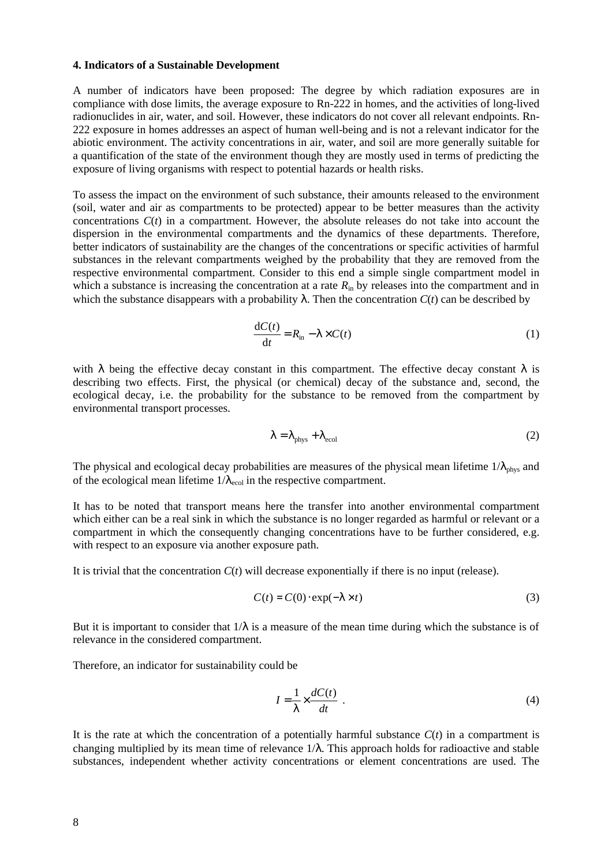#### **4. Indicators of a Sustainable Development**

A number of indicators have been proposed: The degree by which radiation exposures are in compliance with dose limits, the average exposure to Rn-222 in homes, and the activities of long-lived radionuclides in air, water, and soil. However, these indicators do not cover all relevant endpoints. Rn-222 exposure in homes addresses an aspect of human well-being and is not a relevant indicator for the abiotic environment. The activity concentrations in air, water, and soil are more generally suitable for a quantification of the state of the environment though they are mostly used in terms of predicting the exposure of living organisms with respect to potential hazards or health risks.

To assess the impact on the environment of such substance, their amounts released to the environment (soil, water and air as compartments to be protected) appear to be better measures than the activity concentrations *C*(*t*) in a compartment. However, the absolute releases do not take into account the dispersion in the environmental compartments and the dynamics of these departments. Therefore, better indicators of sustainability are the changes of the concentrations or specific activities of harmful substances in the relevant compartments weighed by the probability that they are removed from the respective environmental compartment. Consider to this end a simple single compartment model in which a substance is increasing the concentration at a rate  $R_{\text{in}}$  by releases into the compartment and in which the substance disappears with a probability  $\bf{l}$ . Then the concentration  $C(t)$  can be described by

$$
\frac{\mathrm{d}C(t)}{\mathrm{d}t} = R_{\mathrm{in}} - I \times C(t) \tag{1}
$$

with *l* being the effective decay constant in this compartment. The effective decay constant *l* is describing two effects. First, the physical (or chemical) decay of the substance and, second, the ecological decay, i.e. the probability for the substance to be removed from the compartment by environmental transport processes.

$$
I = I_{\text{phys}} + I_{\text{ecol}} \tag{2}
$$

The physical and ecological decay probabilities are measures of the physical mean lifetime  $1/I_{\text{phys}}$  and of the ecological mean lifetime  $1/I_{\text{ecol}}$  in the respective compartment.

It has to be noted that transport means here the transfer into another environmental compartment which either can be a real sink in which the substance is no longer regarded as harmful or relevant or a compartment in which the consequently changing concentrations have to be further considered, e.g. with respect to an exposure via another exposure path.

It is trivial that the concentration *C*(*t*) will decrease exponentially if there is no input (release).

$$
C(t) = C(0) \cdot \exp(-1 \times t) \tag{3}
$$

But it is important to consider that 1/*l* is a measure of the mean time during which the substance is of relevance in the considered compartment.

Therefore, an indicator for sustainability could be

$$
I = \frac{1}{I} \times \frac{dC(t)}{dt} \tag{4}
$$

It is the rate at which the concentration of a potentially harmful substance  $C(t)$  in a compartment is changing multiplied by its mean time of relevance 1/*l*. This approach holds for radioactive and stable substances, independent whether activity concentrations or element concentrations are used. The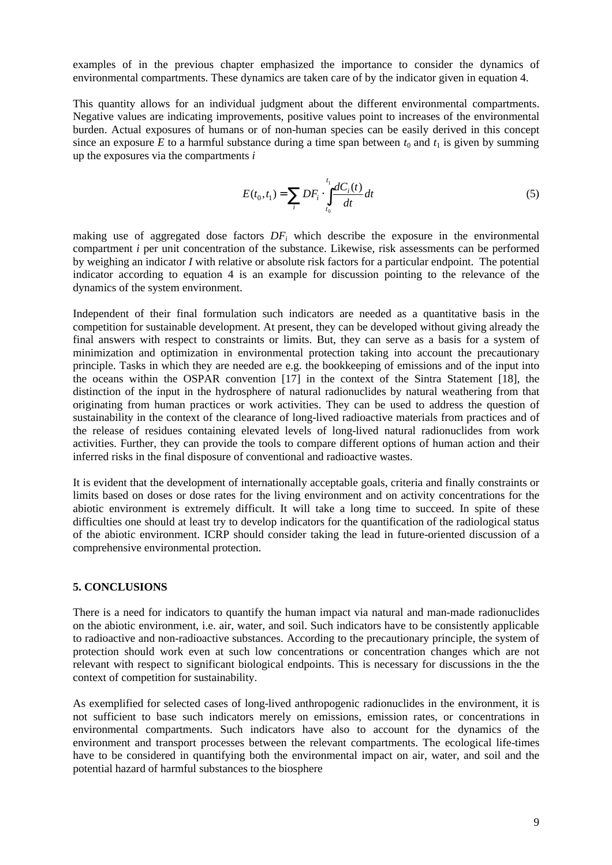examples of in the previous chapter emphasized the importance to consider the dynamics of environmental compartments. These dynamics are taken care of by the indicator given in equation 4.

This quantity allows for an individual judgment about the different environmental compartments. Negative values are indicating improvements, positive values point to increases of the environmental burden. Actual exposures of humans or of non-human species can be easily derived in this concept since an exposure E to a harmful substance during a time span between  $t_0$  and  $t_1$  is given by summing up the exposures via the compartments *i*

$$
E(t_0, t_1) = \sum_{i} DF_i \cdot \int_{t_0}^{t_1} \frac{dC_i(t)}{dt} dt
$$
 (5)

making use of aggregated dose factors  $DF_i$  which describe the exposure in the environmental compartment *i* per unit concentration of the substance. Likewise, risk assessments can be performed by weighing an indicator *I* with relative or absolute risk factors for a particular endpoint. The potential indicator according to equation 4 is an example for discussion pointing to the relevance of the dynamics of the system environment.

Independent of their final formulation such indicators are needed as a quantitative basis in the competition for sustainable development. At present, they can be developed without giving already the final answers with respect to constraints or limits. But, they can serve as a basis for a system of minimization and optimization in environmental protection taking into account the precautionary principle. Tasks in which they are needed are e.g. the bookkeeping of emissions and of the input into the oceans within the OSPAR convention [17] in the context of the Sintra Statement [18], the distinction of the input in the hydrosphere of natural radionuclides by natural weathering from that originating from human practices or work activities. They can be used to address the question of sustainability in the context of the clearance of long-lived radioactive materials from practices and of the release of residues containing elevated levels of long-lived natural radionuclides from work activities. Further, they can provide the tools to compare different options of human action and their inferred risks in the final disposure of conventional and radioactive wastes.

It is evident that the development of internationally acceptable goals, criteria and finally constraints or limits based on doses or dose rates for the living environment and on activity concentrations for the abiotic environment is extremely difficult. It will take a long time to succeed. In spite of these difficulties one should at least try to develop indicators for the quantification of the radiological status of the abiotic environment. ICRP should consider taking the lead in future-oriented discussion of a comprehensive environmental protection.

## **5. CONCLUSIONS**

There is a need for indicators to quantify the human impact via natural and man-made radionuclides on the abiotic environment, i.e. air, water, and soil. Such indicators have to be consistently applicable to radioactive and non-radioactive substances. According to the precautionary principle, the system of protection should work even at such low concentrations or concentration changes which are not relevant with respect to significant biological endpoints. This is necessary for discussions in the the context of competition for sustainability.

As exemplified for selected cases of long-lived anthropogenic radionuclides in the environment, it is not sufficient to base such indicators merely on emissions, emission rates, or concentrations in environmental compartments. Such indicators have also to account for the dynamics of the environment and transport processes between the relevant compartments. The ecological life-times have to be considered in quantifying both the environmental impact on air, water, and soil and the potential hazard of harmful substances to the biosphere